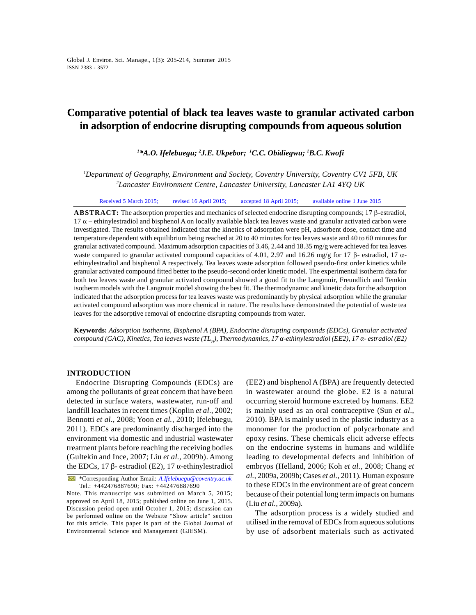# **Comparative potential of black tea leaves waste to granular activated carbon in adsorption of endocrine disrupting compounds from aqueous solution**

*<sup>1</sup>\*A.O. Ifelebuegu; <sup>2</sup>J.E. Ukpebor; <sup>1</sup>C.C. Obidiegwu; <sup>1</sup>B.C. Kwofi*

*<sup>1</sup>Department of Geography, Environment and Society, Coventry University, Coventry CV1 5FB, UK <sup>2</sup>Lancaster Environment Centre, Lancaster University, Lancaster LA1 4YQ UK*

Received 5 March 2015; revised 16 April 2015; accepted 18 April 2015; available online 1 June 2015

**ABSTRACT:** The adsorption properties and mechanics of selected endocrine disrupting compounds; 17  $\beta$ -estradiol,  $17 \alpha$  – ethinylestradiol and bisphenol A on locally available black tea leaves waste and granular activated carbon were investigated. The results obtained indicated that the kinetics of adsorption were pH, adsorbent dose, contact time and temperature dependent with equilibrium being reached at 20 to 40 minutes for tea leaves waste and 40 to 60 minutes for granular activated compound. Maximum adsorption capacities of 3.46, 2.44 and 18.35 mg/g were achieved for tea leaves waste compared to granular activated compound capacities of 4.01, 2.97 and 16.26 mg/g for 17  $\beta$ - estradiol, 17  $\alpha$ -<br>ethinylestradiol and bisphenol A respectively. Tea leaves waste adsorption followed pseudo-first order granular activated compound fitted better to the pseudo-second order kinetic model. The experimental isotherm data for both tea leaves waste and granular activated compound showed a good fit to the Langmuir, Freundlich and Temkin isotherm models with the Langmuir model showing the best fit. The thermodynamic and kinetic data for the adsorption indicated that the adsorption process for tea leaves waste was predominantly by physical adsorption while the granular activated compound adsorption was more chemical in nature. The results have demonstrated the potential of waste tea leaves for the adsorptive removal of endocrine disrupting compounds from water.

**Keywords:** *Adsorption isotherms, Bisphenol A (BPA), Endocrine disrupting compounds (EDCs), Granular activated compound (GAC), Kinetics, Tea leaves waste (TL<sup>H</sup> ), Thermodynamics, 17 -ethinylestradiol (EE2), 17 - estradiol (E2)*

## **INTRODUCTION**

Endocrine Disrupting Compounds (EDCs) are among the pollutants of great concern that have been detected in surface waters, wastewater, run-off and landfill leachates in recent times (Koplin *et al*., 2002; Bennotti *et al*., 2008; Yoon *et al.,* 2010; Ifelebuegu, 2011). EDCs are predominantly discharged into the environment via domestic and industrial wastewater treatment plants before reaching the receiving bodies (Gultekin and Ince, 2007; Liu *et al.,* 2009b). Among the EDCs,  $17$  - estradiol (E2),  $17$  -ethinylestradiol

\*Corresponding Author Email: *A.Ifelebuegu@coventry.ac.uk* Tel.: +442476887690; Fax: +442476887690

Note. This manuscript was submitted on March 5, 2015; approved on April 18, 2015; published online on June 1, 2015. Discussion period open until October 1, 2015; discussion can be performed online on the Website "Show article" section for this article. This paper is part of the Global Journal of Environmental Science and Management (GJESM).

(EE2) and bisphenol A (BPA) are frequently detected in wastewater around the globe. E2 is a natural occurring steroid hormone excreted by humans. EE2 is mainly used as an oral contraceptive (Sun *et al*., 2010). BPA is mainly used in the plastic industry as a monomer for the production of polycarbonate and epoxy resins. These chemicals elicit adverse effects on the endocrine systems in humans and wildlife leading to developmental defects and inhibition of embryos (Helland, 2006; Koh *et al.,* 2008; Chang *et al.,* 2009a, 2009b; Cases *et al.,* 2011). Human exposure to these EDCs in the environment are of great concern because of their potential long term impacts on humans (Liu *et al.,* 2009a).

The adsorption process is a widely studied and utilised in the removal of EDCs from aqueous solutions by use of adsorbent materials such as activated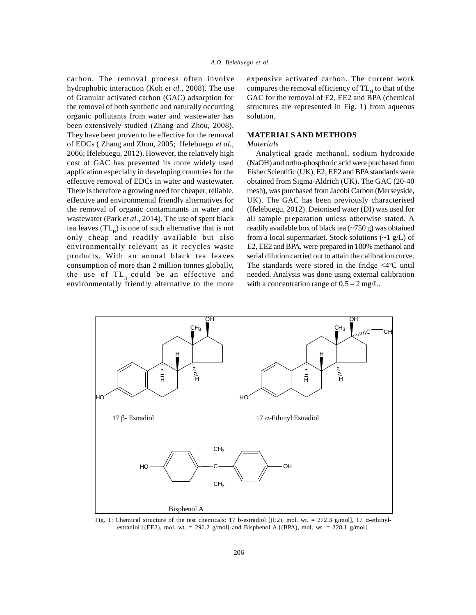carbon. The removal process often involve hydrophobic interaction (Koh *et al.,* 2008). The use of Granular activated carbon (GAC) adsorption for the removal of both synthetic and naturally occurring organic pollutants from water and wastewater has been extensively studied (Zhang and Zhou, 2008). They have been proven to be effective for the removal of EDCs ( Zhang and Zhou, 2005; Ifelebuegu *et al.,* 2006; Ifelebuegu, 2012). However, the relatively high cost of GAC has prevented its more widely used application especially in developing countries for the effective removal of EDCs in water and wastewater. There is therefore a growing need for cheaper, reliable, effective and environmental friendly alternatives for the removal of organic contaminants in water and wastewater (Park *et al.,* 2014). The use of spent black tea leaves  $(TL_{\rm H})$  is one of such alternative that is not r only cheap and readily available but also environmentally relevant as it recycles waste products. With an annual black tea leaves consumption of more than 2 million tonnes globally, the use of  $TL_{\mu}$  could be an effective and environmentally friendly alternative to the more

expensive activated carbon. The current work compares the removal efficiency of TL<sub>H</sub> to that of the GAC for the removal of E2, EE2 and BPA (chemical structures are represented in Fig. 1) from aqueous solution.

# **MATERIALS AND METHODS**

## *Materials*

Analytical grade methanol, sodium hydroxide (NaOH) and ortho-phosphoric acid were purchased from Fisher Scientific (UK), E2; EE2 and BPA standards were obtained from Sigma-Aldrich (UK). The GAC (20-40 mesh), was purchased from Jacobi Carbon (Merseyside, UK). The GAC has been previously characterised (Ifelebuegu, 2012). Deionised water (DI) was used for all sample preparation unless otherwise stated. A readily available box of black tea (~750 g) was obtained from a local supermarket. Stock solutions  $(\sim 1 \text{ g/L})$  of E2, EE2 and BPA, were prepared in 100% methanol and serial dilution carried out to attain the calibration curve. The standards were stored in the fridge  $\langle 4^{\circ}$ C until needed. Analysis was done using external calibration with a concentration range of  $0.5 - 2$  mg/L.



Fig. 1: Chemical structure of the test chemicals: 17 b-estradiol [(E2), mol. wt. = 272.3 g/mol], 17 -ethinylestradiol [(EE2), mol. wt. = 296.2 g/mol] and Bisphenol A [(BPA), mol. wt. = 228.1 g/mol]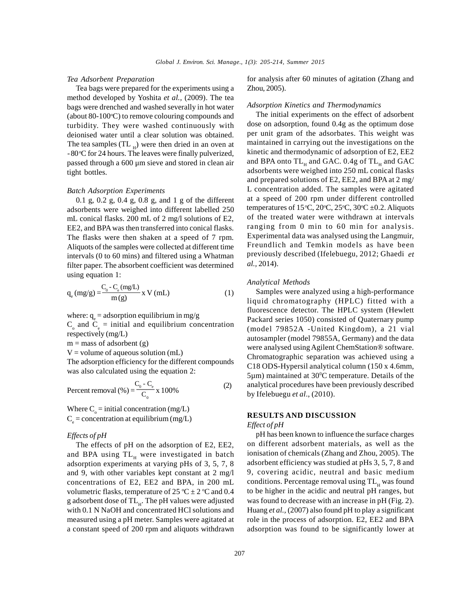#### *Tea Adsorbent Preparation*

Tea bags were prepared for the experiments using a method developed by Yoshita *et al.,* (2009). The tea bags were drenched and washed severally in hot water (about 80-100 $\degree$ C) to remove colouring compounds and turbidity. They were washed continuously with deionised water until a clear solution was obtained. The tea samples (TL  $_H$ ) were then dried in an oven at  $\frac{1}{1}$  $-80^{\circ}$ C for 24 hours. The leaves were finally pulverized, passed through a 600 μm sieve and stored in clean air tight bottles.

## *Batch Adsorption Experiments*

0.1 g, 0.2 g, 0.4 g, 0.8 g, and 1 g of the different adsorbents were weighed into different labelled 250 mL conical flasks. 200 mL of 2 mg/l solutions of E2, EE2, and BPA was then transferred into conical flasks. The flasks were then shaken at a speed of 7 rpm. Aliquots of the samples were collected at different time intervals (0 to 60 mins) and filtered using a Whatman filter paper. The absorbent coefficient was determined using equation 1:

$$
q_e (mg/g) = \frac{C_0 - C_e (mg/L)}{m(g)} x V (mL)
$$
 (1)

where:  $q_e$  = adsorption equilibrium in mg/g  $C_{\rm o}$  and  $C_{\rm e}$  = initial and equilibrium concentration (mod respectively (mg/L)

 $m =$  mass of adsorbent (g)

 $V =$  volume of aqueous solution (mL)

The adsorption efficiency for the different compounds was also calculated using the equation 2:

Percent removal (%) = 
$$
\frac{C_0 - C_e}{C_0} \times 100\%
$$
 (2)

Where  $C_{\circ}$  = initial concentration (mg/L)  $C_e$  = concentration at equilibrium (mg/L)

# *Effects of pH*

The effects of pH on the adsorption of E2, EE2, and BPA using  $TL_{H}$  were investigated in batch ionis adsorption experiments at varying pHs of 3, 5, 7, 8 and 9, with other variables kept constant at 2 mg/l concentrations of E2, EE2 and BPA, in 200 mL volumetric flasks, temperature of 25 °C  $\pm$  2 °C and 0.4 g adsorbent dose of TL<sub>H</sub>. The pH values were adjusted was f with 0.1 N NaOH and concentrated HCl solutions and measured using a pH meter. Samples were agitated at a constant speed of 200 rpm and aliquots withdrawn

for analysis after 60 minutes of agitation (Zhang and Zhou, 2005).

#### *Adsorption Kinetics and Thermodynamics*

The initial experiments on the effect of adsorbent dose on adsorption, found 0.4g as the optimum dose per unit gram of the adsorbates. This weight was maintained in carrying out the investigations on the kinetic and thermodynamic of adsorption of E2, EE2 and BPA onto  $\text{TL}_{\text{H}}$  and GAC.  $0.4$ g of  $\text{TL}_{\text{H}}$  and GAC adsorbents were weighed into 250 mL conical flasks and prepared solutions of E2, EE2, and BPA at 2 mg/ L concentration added. The samples were agitated at a speed of 200 rpm under different controlled temperatures of 15°C, 20°C, 25°C, 30°C ±0.2. Aliquots of the treated water were withdrawn at intervals ranging from 0 min to 60 min for analysis. Experimental data was analysed using the Langmuir, Freundlich and Temkin models as have been previously described (Ifelebuegu, 2012; Ghaedi *et al.,* 2014).

#### *Analytical Methods*

Samples were analyzed using a high-performance liquid chromatography (HPLC) fitted with a fluorescence detector. The HPLC system (Hewlett Packard series 1050) consisted of Quaternary pump (model 79852A -United Kingdom), a 21 vial autosampler (model 79855A, Germany) and the data were analysed using Agilent ChemStation® software. Chromatographic separation was achieved using a C18 ODS-Hypersil analytical column (150 x 4.6mm,  $5\mu$ m) maintained at  $30^{\circ}$ C temperature. Details of the analytical procedures have been previously described (2) by Ifelebuegu *et al*., (2010).

# **RESULTS AND DISCUSSION**

#### *Effect of pH*

pH has been known to influence the surface charges on different adsorbent materials, as well as the ionisation of chemicals (Zhang and Zhou, 2005). The adsorbent efficiency was studied at pHs 3, 5, 7, 8 and 9, covering acidic, neutral and basic medium conditions. Percentage removal using TL<sub>H</sub> was found to be higher in the acidic and neutral pH ranges, but was found to decrease with an increase in pH (Fig. 2). Huang *et al.,* (2007) also found pH to play a significant role in the process of adsorption. E2, EE2 and BPA adsorption was found to be significantly lower at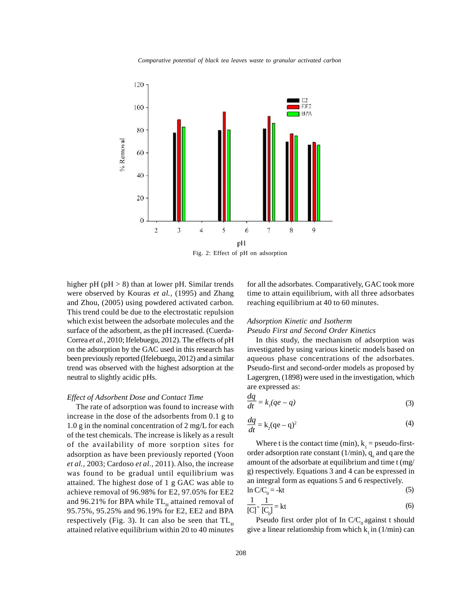*Comparative potential of black tea leaves waste to granular activated carbon.* 



Fig. 2: Effect of pH on adsorption

higher pH ( $pH > 8$ ) than at lower pH. Similar trends were observed by Kouras *et al.,* (1995) and Zhang and Zhou, (2005) using powdered activated carbon. This trend could be due to the electrostatic repulsion which exist between the adsorbate molecules and the surface of the adsorbent, as the pH increased. (Cuerda-Correa *et al.*, 2010; Ifelebuegu, 2012). The effects of pH on the adsorption by the GAC used in this research has been previously reported (Ifelebuegu, 2012) and a similar trend was observed with the highest adsorption at the neutral to slightly acidic pHs.

# *Effect of Adsorbent Dose and Contact Time*

The rate of adsorption was found to increase with increase in the dose of the adsorbents from 0.1 g to 1.0 g in the nominal concentration of 2 mg/L for each of the test chemicals. The increase is likely as a result of the availability of more sorption sites for adsorption as have been previously reported (Yoon *et al.,* 2003; Cardoso *et al.,* 2011). Also, the increase was found to be gradual until equilibrium was attained. The highest dose of 1 g GAC was able to achieve removal of 96.98% for E2, 97.05% for EE2  $\frac{\ln 2}{\ln 2}$ and 96.21% for BPA while  $TL_{\text{H}}$  attained removal of  $\frac{1}{2}$ 95.75%, 95.25% and 96.19% for E2, EE2 and BPA respectively (Fig. 3). It can also be seen that  $TL<sub>H</sub>$  attained relative equilibrium within 20 to 40 minutes

for all the adsorbates. Comparatively, GAC took more time to attain equilibrium, with all three adsorbates reaching equilibrium at 40 to 60 minutes.

#### *Adsorption Kinetic and Isotherm*

# *Pseudo First and Second Order Kinetics*

In this study, the mechanism of adsorption was investigated by using various kinetic models based on aqueous phase concentrations of the adsorbates. Pseudo-first and second-order models as proposed by Lagergren, (1898) were used in the investigation, which are expressed as:

$$
\frac{dq}{dt} = k_j(qe - q) \tag{3}
$$

$$
\frac{dq}{dt} = k_2(qe - q)^2
$$
 (4)

Where t is the contact time (min),  $k_1$  = pseudo-firstorder adsorption rate constant  $(1/\text{min})$ ,  $q_e$  and q are the amount of the adsorbate at equilibrium and time t (mg/ g) respectively. Equations 3 and 4 can be expressed in an integral form as equations 5 and 6 respectively.

$$
\ln C/C_0 = -kt \tag{5}
$$

$$
\frac{1}{\left[C\right]} - \frac{1}{\left[C_0\right]} = kt \tag{6}
$$

Pseudo first order plot of In  $C/C_0$  against t should give a linear relationship from which  $k_1$  in (1/min) can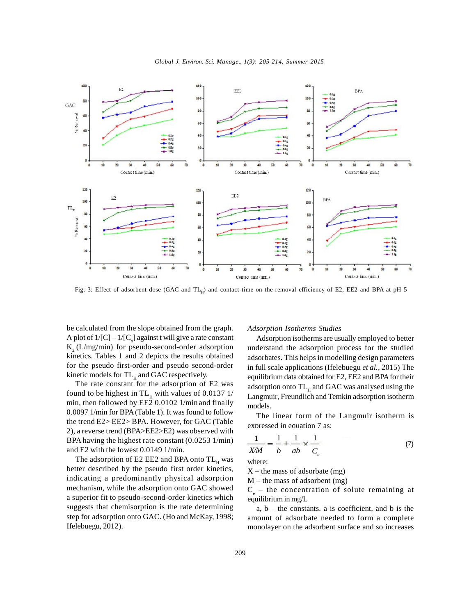



Fig. 3: Effect of adsorbent dose (GAC and  $TL_{H}$ ) and contact time on the removal efficiency of E2, EE2 and BPA at pH 5

be calculated from the slope obtained from the graph. A plot of  $1/[C] - 1/[C]$  against t will give a rate constant  $K<sub>2</sub>$  (L/mg/min) for pseudo-second-order adsorption kinetics. Tables 1 and 2 depicts the results obtained for the pseudo first-order and pseudo second-order kinetic models for TL<sub>H</sub> and GAC respectively.

The rate constant for the adsorption of E2 was found to be highest in  $TL_{H}$  with values of 0.0137 1/ min, then followed by EE2 0.0102 1/min and finally 0.0097 1/min for BPA (Table 1). It was found to follow the trend E2> EE2> BPA. However, for GAC (Table 2), a reverse trend (BPA>EE2>E2) was observed with BPA having the highest rate constant (0.0253 1/min) and E2 with the lowest 0.0149 1/min.

The adsorption of E2 EE2 and BPA onto  $TL_{H}$  was  $W_{H}$ better described by the pseudo first order kinetics, indicating a predominantly physical adsorption mechanism, while the adsorption onto GAC showed a superior fit to pseudo-second-order kinetics which suggests that chemisorption is the rate determining step for adsorption onto GAC. (Ho and McKay, 1998; Ifelebuegu, 2012).

## *Adsorption Isotherms Studies*

Adsorption isotherms are usually employed to better understand the adsorption process for the studied adsorbates. This helps in modelling design parameters in full scale applications (Ifelebuegu *et al.,* 2015) The equilibrium data obtained for E2, EE2 and BPA for their adsorption onto  $TL_{H}$  and GAC was analysed using the Langmuir, Freundlich and Temkin adsorption isotherm models.

The linear form of the Langmuir isotherm is expressed in equation 7 as:

$$
\frac{1}{XM} = \frac{1}{b} + \frac{1}{ab} \times \frac{1}{C_e}
$$
 (7)

where:

 $X$  – the mass of adsorbate (mg)

 $M$  – the mass of adsorbent (mg)

 $C_e$  – the concentration of solute remaining at equilibrium in mg/L

 $a, b$  – the constants. a is coefficient, and b is the amount of adsorbate needed to form a complete monolayer on the adsorbent surface and so increases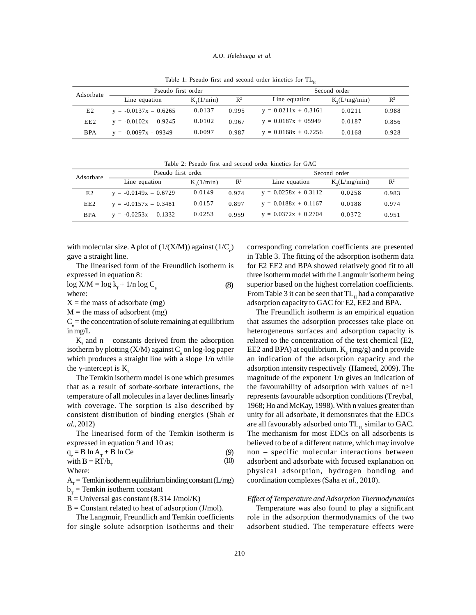#### *A.O. Ifelebuegu et al.*

|            | Pseudo first order      |                   |                | Second order           |                 |                |  |
|------------|-------------------------|-------------------|----------------|------------------------|-----------------|----------------|--|
| Adsorbate  | Line equation           | $K(1/\text{min})$ | $\mathbb{R}^2$ | Line equation          | $K_2(L/mg/min)$ | $\mathbb{R}^2$ |  |
| E2         | $y = -0.0137x - 0.6265$ | 0.0137            | 0.995          | $y = 0.0211x + 0.3161$ | 0.0211          | 0.988          |  |
| EE2        | $y = -0.0102x - 0.9245$ | 0.0102            | 0.967          | $y = 0.0187x + 05949$  | 0.0187          | 0.856          |  |
| <b>BPA</b> | $y = -0.0097x - 09349$  | 0.0097            | 0.987          | $y = 0.0168x + 0.7256$ | 0.0168          | 0.928          |  |

Table 1: Pseudo first and second order kinetics for  $TL_{\alpha}$ 

Table 2: Pseudo first and second order kinetics for GAC

| Adsorbate      | Pseudo first order      |          |                | Second order           |                 |                |  |
|----------------|-------------------------|----------|----------------|------------------------|-----------------|----------------|--|
|                | Line equation           | K(1/min) | $\mathbb{R}^2$ | Line equation          | $K_2(L/mg/min)$ | $\mathbb{R}^2$ |  |
| E <sub>2</sub> | $y = -0.0149x - 0.6729$ | 0.0149   | 0.974          | $y = 0.0258x + 0.3112$ | 0.0258          | 0.983          |  |
| EE2            | $y = -0.0157x - 0.3481$ | 0.0157   | 0.897          | $y = 0.0188x + 0.1167$ | 0.0188          | 0.974          |  |
| <b>BPA</b>     | $y = -0.0253x - 0.1332$ | 0.0253   | 0.959          | $y = 0.0372x + 0.2704$ | 0.0372          | 0.951          |  |

with molecular size. A plot of  $(1/(X/M))$  against  $(1/C<sub>s</sub>)$ gave a straight line.

The linearised form of the Freundlich isotherm is expressed in equation 8:

where:  $\log X/M = \log k_{f} + 1/n \log C_{e}$  (8)

 $X =$  the mass of adsorbate (mg)

 $M =$  the mass of adsorbent (mg)

 $C<sub>e</sub>$  = the concentration of solute remaining at equilibrium in mg/L

 $K<sub>f</sub>$  and n – constants derived from the adsorption isotherm by plotting  $(X/M)$  against  $C_e$  on log-log paper E which produces a straight line with a slope  $1/n$  while the y-intercept is  $K_f$ .<br>The Temkin isotherm model is one which presumes

that as a result of sorbate-sorbate interactions, the temperature of all molecules in a layer declines linearly with coverage. The sorption is also described by consistent distribution of binding energies (Shah *et al.,* 2012)

The linearised form of the Temkin isotherm is expressed in equation 9 and 10 as:

$$
q_e = B \ln A_T + B \ln Ce
$$
  
with B = RT/b<sub>r</sub> (9)  
(10)

Where:

 $A_T$  = Temkin isotherm equilibrium binding constant (L/mg) com $b_T$  = Temkin isotherm constant

 $R =$  Universal gas constant (8.314 J/mol/K)

 $B =$  Constant related to heat of adsorption (J/mol).

The Langmuir, Freundlich and Temkin coefficients for single solute adsorption isotherms and their

corresponding correlation coefficients are presented in Table 3. The fitting of the adsorption isotherm data for E2 EE2 and BPA showed relatively good fit to all three isotherm model with the Langmuir isotherm being superior based on the highest correlation coefficients. From Table 3 it can be seen that  $TL_{\rm H}$  had a comparative adsorption capacity to GAC for E2, EE2 and BPA.

The Freundlich isotherm is an empirical equation that assumes the adsorption processes take place on heterogeneous surfaces and adsorption capacity is related to the concentration of the test chemical (E2, EE2 and BPA) at equilibrium.  $K_F(mg/g)$  and n provide an indication of the adsorption capacity and the adsorption intensity respectively (Hameed, 2009). The magnitude of the exponent 1/n gives an indication of the favourability of adsorption with values of n>1 represents favourable adsorption conditions (Treybal, 1968; Ho and McKay, 1998). With n values greater than unity for all adsorbate, it demonstrates that the EDCs are all favourably adsorbed onto  $TL_{\rm H}$  similar to GAC. The mechanism for most EDCs on all adsorbents is believed to be of a different nature, which may involve non – specific molecular interactions between (9) adsorbent and adsorbate with focused explanation on (10) physical adsorption, hydrogen bonding and coordination complexes (Saha *et al.,* 2010).

# *Effect of Temperature and Adsorption Thermodynamics*

Temperature was also found to play a significant role in the adsorption thermodynamics of the two adsorbent studied. The temperature effects were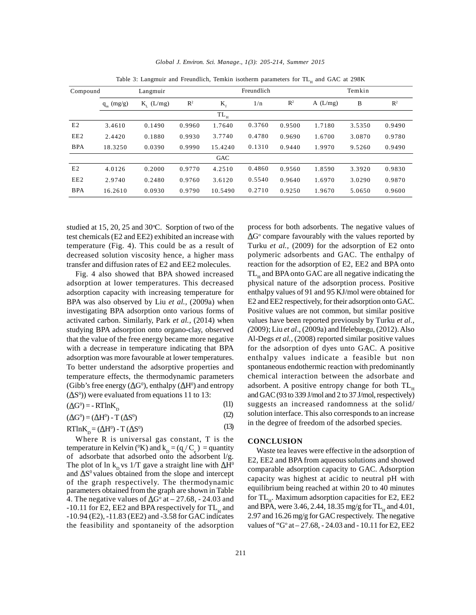|                 |              | Table 3: Langmuir and Freundlich, Temkin isotherm parameters for TL <sub>u</sub> and GAC at 298K |                |             |            |                |         |        |                |  |
|-----------------|--------------|--------------------------------------------------------------------------------------------------|----------------|-------------|------------|----------------|---------|--------|----------------|--|
| Compound        |              | Langmuir                                                                                         |                |             | Freundlich |                |         | Temkin |                |  |
|                 | $q_m$ (mg/g) | $K_{\tau}$ (L/mg)                                                                                | $\mathbb{R}^2$ | $K_{\rm f}$ | 1/n        | $\mathbb{R}^2$ | A(L/mg) | B      | $\mathbb{R}^2$ |  |
|                 |              |                                                                                                  |                | $TL_{H}$    |            |                |         |        |                |  |
| E2              | 3.4610       | 0.1490                                                                                           | 0.9960         | 1.7640      | 0.3760     | 0.9500         | 1.7180  | 3.5350 | 0.9490         |  |
| EE <sub>2</sub> | 2.4420       | 0.1880                                                                                           | 0.9930         | 3.7740      | 0.4780     | 0.9690         | 1.6700  | 3.0870 | 0.9780         |  |
| <b>BPA</b>      | 18.3250      | 0.0390                                                                                           | 0.9990         | 15.4240     | 0.1310     | 0.9440         | 1.9970  | 9.5260 | 0.9490         |  |
|                 |              |                                                                                                  |                | GAC         |            |                |         |        |                |  |
| E2              | 4.0126       | 0.2000                                                                                           | 0.9770         | 4.2510      | 0.4860     | 0.9560         | 1.8590  | 3.3920 | 0.9830         |  |
| EE <sub>2</sub> | 2.9740       | 0.2480                                                                                           | 0.9760         | 3.6120      | 0.5540     | 0.9640         | 1.6970  | 3.0290 | 0.9870         |  |
| <b>BPA</b>      | 16.2610      | 0.0930                                                                                           | 0.9790         | 10.5490     | 0.2710     | 0.9250         | 1.9670  | 5.0650 | 0.9600         |  |

*Global J. Environ. Sci. Manage., 1(3): 205-214, Summer 2015*

studied at 15, 20, 25 and 30 $\degree$ C. Sorption of two of the test chemicals (E2 and EE2) exhibited an increase with temperature (Fig. 4). This could be as a result of decreased solution viscosity hence, a higher mass transfer and diffusion rates of E2 and EE2 molecules.

Fig. 4 also showed that BPA showed increased adsorption at lower temperatures. This decreased adsorption capacity with increasing temperature for BPA was also observed by Liu *et al.,* (2009a) when investigating BPA adsorption onto various forms of activated carbon. Similarly, Park *et al.,* (2014) when studying BPA adsorption onto organo-clay, observed that the value of the free energy became more negative with a decrease in temperature indicating that BPA adsorption was more favourable at lower temperatures. To better understand the adsorptive properties and temperature effects, the thermodynamic parameters (Gibb's free energy ( $\Delta G^0$ ), enthalpy ( $\Delta H^0$ ) and entropy  $($  $\Delta S$ <sup>0</sup> $)$ ) were evaluated from equations 11 to 13:

 $(\Delta G^0)$  = - RTlnK<sub>D</sub> (11)

 $(\Delta G^0) = (\Delta H^0) - T (\Delta S^0)$ (12)

 $RTlnK_p = (\Delta H^0) - T (\Delta S^0)$ (13)

Where R is universal gas constant, T is the temperature in Kelvin (°K) and  $k_D = (q_e/C_e) =$  quantity  $W$ of adsorbate that adsorbed onto the adsorbent l/g. The plot of ln k<sub>p</sub> vs 1/T gave a straight line with  $\Delta H^0$ and  $\Delta S^0$  values obtained from the slope and intercept of the graph respectively. The thermodynamic parameters obtained from the graph are shown in Table 4. The negative values of  $\Delta G^{\circ}$  at  $- 27.68$ ,  $- 24.03$  and <sup>tor 1</sup>  $-10.11$  for E2, EE2 and BPA respectively for TL<sub>H</sub> and and I -10.94 (E2), -11.83 (EE2) and -3.58 for GAC indicates the feasibility and spontaneity of the adsorption

process for both adsorbents. The negative values of G<sup>o</sup> compare favourably with the values reported by Turku *et al.,* (2009) for the adsorption of E2 onto polymeric adsorbents and GAC. The enthalpy of reaction for the adsorption of E2, EE2 and BPA onto TL<sub>H</sub> and BPA onto GAC are all negative indicating the physical nature of the adsorption process. Positive enthalpy values of 91 and 95 KJ/mol were obtained for E2 and EE2 respectively, for their adsorption onto GAC. Positive values are not common, but similar positive values have been reported previously by Turku *et al., (*2009); Liu *et al*., (2009a) and Ifelebuegu, (2012). Also Al-Degs *et al.,* (2008) reported similar positive values for the adsorption of dyes unto GAC. A positive enthalpy values indicate a feasible but non spontaneous endothermic reaction with predominantly chemical interaction between the adsorbate and adsorbent. A positive entropy change for both  $TL<sub>H</sub>$  and GAC (93 to 339 J/mol and 2 to 37 J/mol, respectively) suggests an increased randomness at the solid/ solution interface. This also corresponds to an increase in the degree of freedom of the adsorbed species.

# **CONCLUSION**

Waste tea leaves were effective in the adsorption of E2, EE2 and BPA from aqueous solutions and showed comparable adsorption capacity to GAC. Adsorption capacity was highest at acidic to neutral pH with equilibrium being reached at within 20 to 40 minutes for TL<sub>H</sub>. Maximum adsorption capacities for E2, EE2 and BPA, were 3.46, 2.44, 18.35 mg/g for  $TL_{\rm H}$  and 4.01, 2.97 and 16.26 mg/g for GAC respectively. The negative values of "G° at – 27.68, - 24.03 and - 10.11 for E2, EE2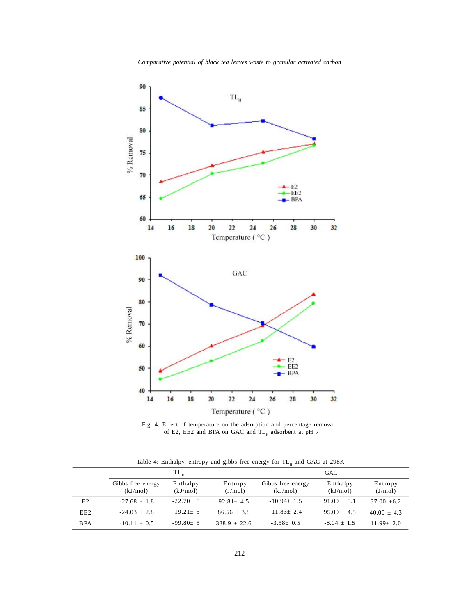

Fig. 4: Effect of temperature on the adsorption and percentage removal of E2, EE2 and BPA on GAC and TL<sub>H</sub> adsorbent at pH 7

| Table 4: Enthalpy, entropy and gibbs free energy for TL <sub>H</sub> and GAC at 298K |  |  |  |  |  |
|--------------------------------------------------------------------------------------|--|--|--|--|--|
|--------------------------------------------------------------------------------------|--|--|--|--|--|

|                 |                               | $TL_{\rm H}$         |                    | GAC                           |                      |                    |  |
|-----------------|-------------------------------|----------------------|--------------------|-------------------------------|----------------------|--------------------|--|
|                 | Gibbs free energy<br>(kJ/mol) | Enthalpy<br>(kJ/mol) | Entropy<br>(J/mol) | Gibbs free energy<br>(kJ/mol) | Enthalpy<br>(kJ/mol) | Entropy<br>(J/mol) |  |
| E2              | $-27.68 + 1.8$                | $-22.70+5$           | $92.81 + 4.5$      | $-10.94 + 1.5$                | $91.00 + 5.1$        | $37.00 + 6.2$      |  |
| EE <sub>2</sub> | $-24.03 + 2.8$                | $-19.21 \pm 5$       | $86.56 + 3.8$      | $-11.83+2.4$                  | $95.00 + 4.5$        | $40.00 + 4.3$      |  |
| <b>BPA</b>      | $-10.11 + 0.5$                | $-99.80+5$           | $338.9 + 22.6$     | $-3.58 + 0.5$                 | $-8.04 + 1.5$        | $11.99 + 2.0$      |  |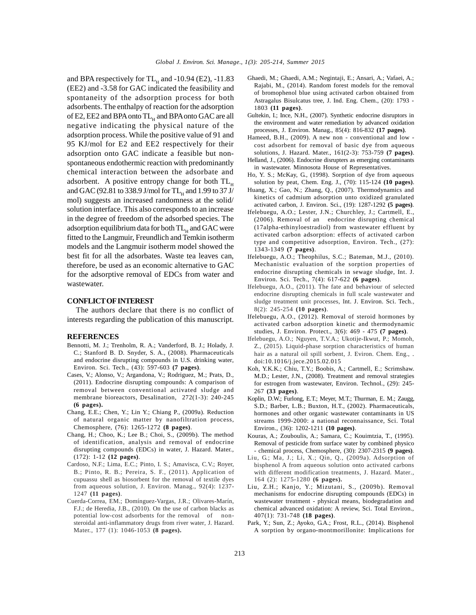and BPA respectively for  $TL_{H}$  and -10.94 (E2), -11.83 Ghaec (EE2) and -3.58 for GAC indicated the feasibility and spontaneity of the adsorption process for both adsorbents. The enthalpy of reaction for the adsorption of E2, EE2 and BPA onto  $TL_{H}$  and BPA onto GAC are all negative indicating the physical nature of the adsorption process. While the positive value of 91 and 95 KJ/mol for E2 and EE2 respectively for their adsorption onto GAC indicate a feasible but nonspontaneous endothermic reaction with predominantly chemical interaction between the adsorbate and adsorbent. A positive entropy change for both  $TL_{H}$  and GAC (92.81 to 338.9 J/mol for  $TL_{H}$  and 1.99 to 37 J/ mol) suggests an increased randomness at the solid/ solution interface. This also corresponds to an increase in the degree of freedom of the adsorbed species. The adsorption equilibrium data for both  $TL_{H}$  and GAC were  $(1)$ fitted to the Langmuir, Freundlich and Temkin isotherm models and the Langmuir isotherm model showed the best fit for all the adsorbates. Waste tea leaves can, therefore, be used as an economic alternative to GAC for the adsorptive removal of EDCs from water and wastewater.

#### **CONFLICT OF INTEREST**

The authors declare that there is no conflict of interests regarding the publication of this manuscript.

#### **REFERENCES**

- Bennotti, M. J.; Trenholm, R. A.; Vanderford, B. J.; Holady, J. C.; Stanford B. D. Snyder, S. A., (2008). Pharmaceuticals and endocrine disrupting compounds in U.S. drinking water, Environ. Sci. Tech., (43): 597-603 **(7 pages)**.
- Cases, V.; Alonso, V.; Argandona, V.; Rodriguez, M.; Prats, D., (2011). Endocrine disrupting compounds: A comparison of removal between conventional activated sludge and membrane bioreactors, Desalination, 272(1-3): 240-245 **(6 pages).**
- Chang, E.E.; Chen, Y.; Lin Y.; Chiang P., (2009a). Reduction of natural organic matter by nanofiltration process, Chemosphere, (76): 1265-1272 **(8 pages)**.
- Chang, H.; Choo, K.; Lee B.; Choi, S., (2009b). The method of identification, analysis and removal of endocrine disrupting compounds (EDCs) in water, J. Hazard. Mater., (172): 1-12 **(12 pages)**.
- Cardoso, N.F.; Lima, E.C.; Pinto, I. S.; Amavisca, C.V.; Royer, B.; Pinto, R. B.; Pereira, S. F., (2011). Application of cupuassu shell as biosorbent for the removal of textile dyes from aqueous solution, J. Environ. Manag., 92(4): 1237- 1247 **(11 pages)**.
- Cuerda-Correa, EM.; Domínguez-Vargas, J.R.; Olivares-Marín, F.J.; de Heredia, J.B., (2010). On the use of carbon blacks as potential low-cost adsorbents for the removal of nonsteroidal anti-inflammatory drugs from river water, J. Hazard. Mater., 177 (1): 1046-1053 **(8 pages).**
- Ghaedi, M.; Ghaedi, A.M.; Negintaji, E.; Ansari, A.; Vafaei, A.; Rajabi, M., (2014). Random forest models for the removal of bromophenol blue using activated carbon obtained from Astragalus Bisulcatus tree, J. Ind. Eng. Chem., (20): 1793 - 1803 **(11 pages)**.
- Gultekin, I.; Ince, N.H., (2007). Synthetic endocrine disruptors in the environment and water remediation by advanced oxidation processes, J. Environ. Manag., 85(4): 816-832 **(17 pages)**.
- Hameed, B.H., (2009). A new non conventional and low cost adsorbent for removal of basic dye from aqueous solutions, J. Hazard. Mater., 161(2-3): 753-759 **(7 pages)**.
- Helland, J., (2006). Endocrine disrupters as emerging contaminants in wastewater. Minnosota House of Representatives.
- Ho, Y. S.; McKay, G., (1998). Sorption of dye from aqueous solution by peat, Chem. Eng. J., (70): 115-124 **(10 pages)**.
- Huang, X.; Gao, N.; Zhang, Q., (2007). Thermodynamics and kinetics of cadmium adsorption unto oxidized granulated activated carbon, J. Environ. Sci., (19): 1287-1292 **(5 pages)**.
- Ifelebuegu, A.O.; Lester, J.N.; Churchley, J.; Cartmell, E., (2006). Removal of an endocrine disrupting chemical (17alpha-ethinyloestradiol) from wastewater effluent by activated carbon adsorption: effects of activated carbon type and competitive adsorption, Environ. Tech., (27): 1343-1349 **(7 pages)**.
- Ifelebuegu, A.O.; Theophilus, S.C.; Bateman, M.J., (2010). Mechanistic evaluation of the sorption properties of endocrine disrupting chemicals in sewage sludge, Int. J. Environ. Sci. Tech., 7(4): 617-622 **(6 pages)**.
- Ifelebuegu, A.O., (2011). The fate and behaviour of selected endocrine disrupting chemicals in full scale wastewater and sludge treatment unit processes, Int. J. Environ. Sci. Tech., 8(2): 245-254 **(10 pages)**.
- Ifelebuegu, A.O., (2012). Removal of steroid hormones by activated carbon adsorption kinetic and thermodynamic studies, J. Environ. Protect., 3(6): 469 - 475 **(7 pages)**.
- Ifelebuegu, A.O.; Nguyen, T.V.A.; Ukotije-Ikwut, P.; Momoh, Z., (2015). Liquid-phase sorption characteristics of human hair as a natural oil spill sorbent, J. Eviron. Chem. Eng., . doi:10.1016/j.jece.2015.02.015
- Koh, Y.K.K.; Chiu, T.Y.; Boobis, A.; Cartmell, E.; Scrimshaw. M.D.; Lester, J.N., (2008). Treatment and removal strategies for estrogen from wastewater, Environ. Technol., (29): 245- 267 **(33 pages)**.
- Koplin, D.W.; Furlong, E.T.; Meyer, M.T.; Thurman, E. M.; Zaugg, S.D.; Barber, L.B.; Buxton, H.T., (2002). Pharmaceuticals, hormones and other organic wastewater contaminants in US streams 1999-2000: a national reconnaissance, Sci. Total Environ., (36): 1202-1211 **(10 pages)**.
- Kouras, A.; Zouboulis, A.; Samara, C.; Kouimtzia, T., (1995). Removal of pesticide from surface water by combined physico - chemical process, Chemosphere, (30): 2307-2315 **(9 pages)**.
- Liu, G.; Ma, J.; Li, X.; Qin, Q., (2009a). Adsorption of bisphenol A from aqueous solution onto activated carbons with different modification treatments, J. Hazard. Mater*.,* 164 (2): 1275-1280 **(6 pages).**
- Liu, Z.H.; Kanjo, Y.; Mizutani, S., (2009b). Removal mechanisms for endocrine disrupting compounds (EDCs) in wastewater treatment - physical means, biodegradation and chemical advanced oxidation: A review, Sci. Total Environ., 407(1): 731-748 **(18 pages)**.
- Park, Y.; Sun, Z.; Ayoko, G.A.; Frost, R.L., (2014). Bisphenol A sorption by organo-montmorillonite: Implications for